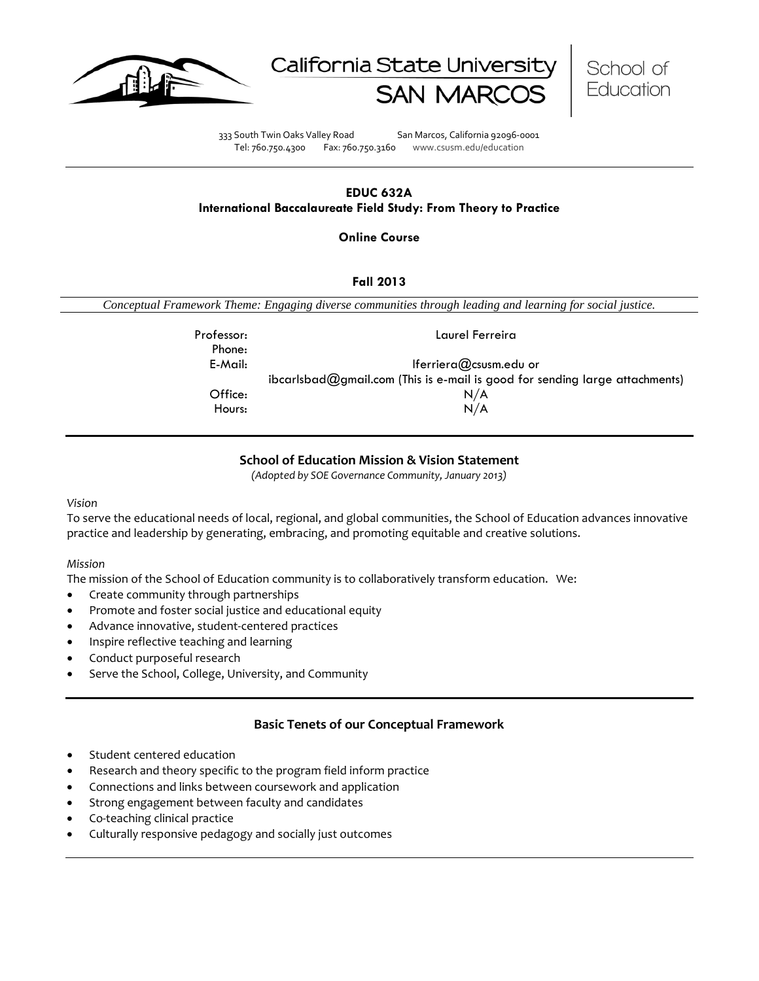





333 South Twin Oaks Valley Road San Marcos, California 92096-0001 Tel: 760.750.4300 Fax: 760.750.3160 www.csusm.edu/education

### **EDUC 632A International Baccalaureate Field Study: From Theory to Practice**

**Online Course** 

## **Fall 2013**

*Conceptual Framework Theme: Engaging diverse communities through leading and learning for social justice.*

| Professor:<br>Phone: | Laurel Ferreira                                                               |
|----------------------|-------------------------------------------------------------------------------|
| E-Mail:              | Iferriera $@$ csusm.edu or                                                    |
|                      | $ibcarlsbad@gmail.com$ (This is e-mail is good for sending large attachments) |
| Office:              | N/A                                                                           |
| Hours:               | N/A                                                                           |

# **School of Education Mission & Vision Statement**

*(Adopted by SOE Governance Community, January 2013)*

#### *Vision*

To serve the educational needs of local, regional, and global communities, the School of Education advances innovative practice and leadership by generating, embracing, and promoting equitable and creative solutions.

## *Mission*

The mission of the School of Education community is to collaboratively transform education. We:

- Create community through partnerships
- Promote and foster social justice and educational equity
- Advance innovative, student-centered practices
- Inspire reflective teaching and learning
- Conduct purposeful research
- Serve the School, College, University, and Community

## **Basic Tenets of our Conceptual Framework**

- Student centered education
- Research and theory specific to the program field inform practice
- Connections and links between coursework and application
- Strong engagement between faculty and candidates
- Co-teaching clinical practice
- Culturally responsive pedagogy and socially just outcomes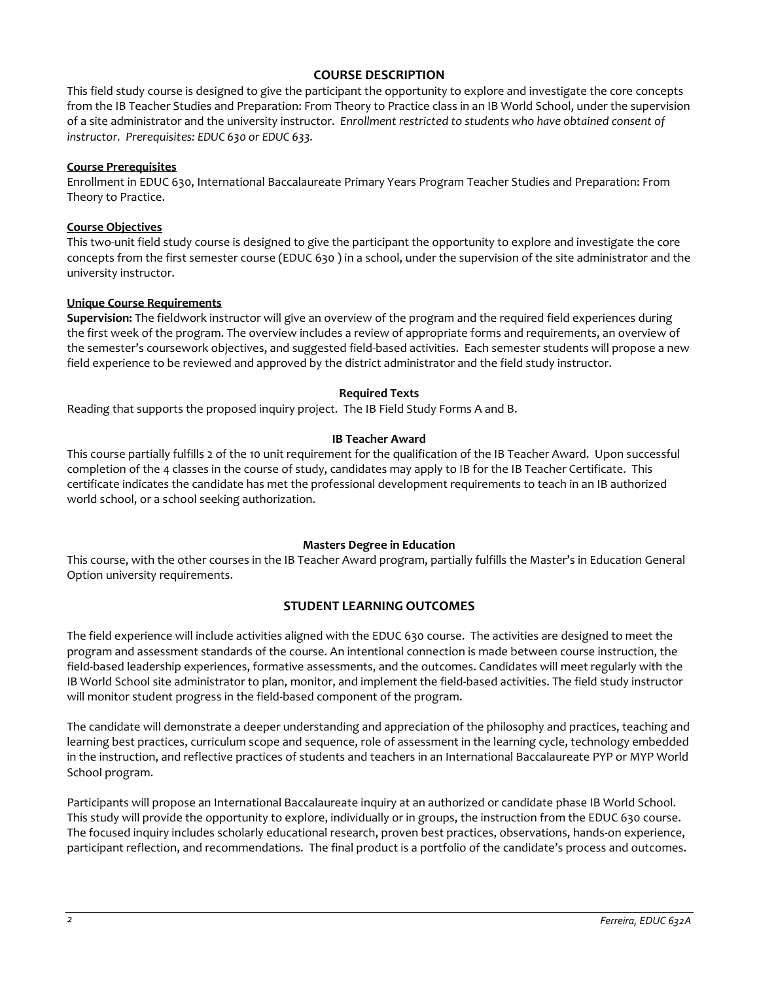## **COURSE DESCRIPTION**

This field study course is designed to give the participant the opportunity to explore and investigate the core concepts from the IB Teacher Studies and Preparation: From Theory to Practice class in an IB World School, under the supervision of a site administrator and the university instructor. *Enrollment restricted to students who have obtained consent of instructor. Prerequisites: EDUC 630 or EDUC 633.*

### **Course Prerequisites**

Enrollment in EDUC 630, International Baccalaureate Primary Years Program Teacher Studies and Preparation: From Theory to Practice.

### **Course Objectives**

This two-unit field study course is designed to give the participant the opportunity to explore and investigate the core concepts from the first semester course (EDUC 630 ) in a school, under the supervision of the site administrator and the university instructor.

## **Unique Course Requirements**

**Supervision:** The fieldwork instructor will give an overview of the program and the required field experiences during the first week of the program. The overview includes a review of appropriate forms and requirements, an overview of the semester's coursework objectives, and suggested field-based activities. Each semester students will propose a new field experience to be reviewed and approved by the district administrator and the field study instructor.

## **Required Texts**

Reading that supports the proposed inquiry project. The IB Field Study Forms A and B.

## **IB Teacher Award**

This course partially fulfills 2 of the 10 unit requirement for the qualification of the IB Teacher Award. Upon successful completion of the 4 classes in the course of study, candidates may apply to IB for the IB Teacher Certificate. This certificate indicates the candidate has met the professional development requirements to teach in an IB authorized world school, or a school seeking authorization.

## **Masters Degree in Education**

This course, with the other courses in the IB Teacher Award program, partially fulfills the Master's in Education General Option university requirements.

## **STUDENT LEARNING OUTCOMES**

The field experience will include activities aligned with the EDUC 630 course. The activities are designed to meet the program and assessment standards of the course. An intentional connection is made between course instruction, the field-based leadership experiences, formative assessments, and the outcomes. Candidates will meet regularly with the IB World School site administrator to plan, monitor, and implement the field-based activities. The field study instructor will monitor student progress in the field-based component of the program.

The candidate will demonstrate a deeper understanding and appreciation of the philosophy and practices, teaching and learning best practices, curriculum scope and sequence, role of assessment in the learning cycle, technology embedded in the instruction, and reflective practices of students and teachers in an International Baccalaureate PYP or MYP World School program.

Participants will propose an International Baccalaureate inquiry at an authorized or candidate phase IB World School. This study will provide the opportunity to explore, individually or in groups, the instruction from the EDUC 630 course. The focused inquiry includes scholarly educational research, proven best practices, observations, hands-on experience, participant reflection, and recommendations. The final product is a portfolio of the candidate's process and outcomes.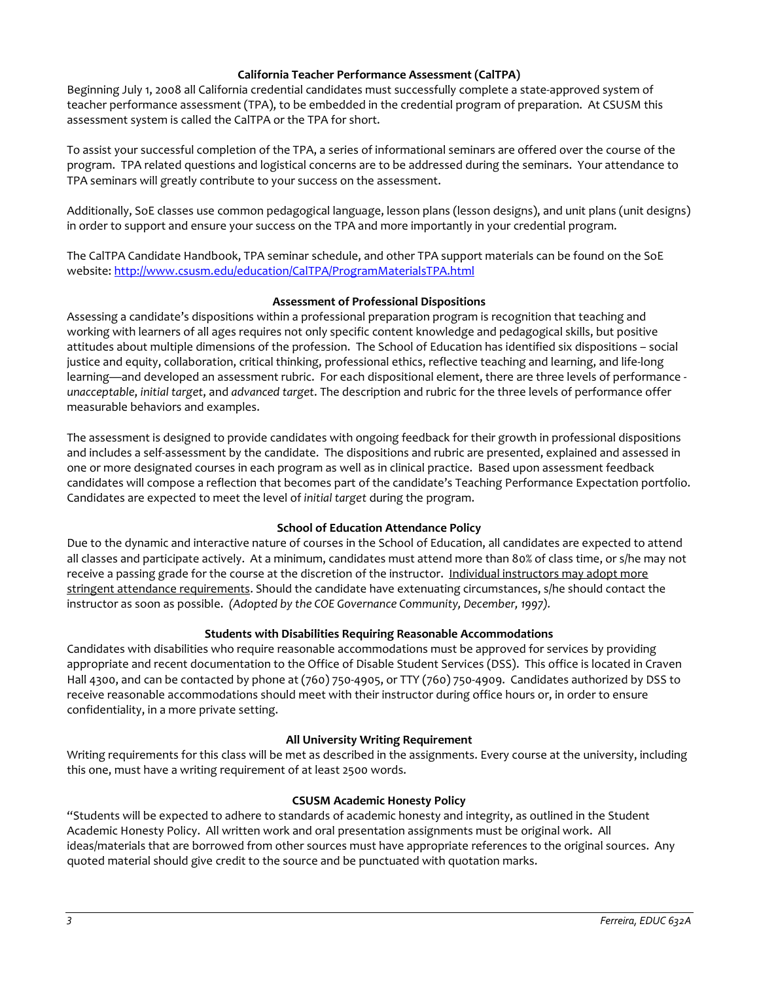### **California Teacher Performance Assessment (CalTPA)**

Beginning July 1, 2008 all California credential candidates must successfully complete a state-approved system of teacher performance assessment (TPA), to be embedded in the credential program of preparation. At CSUSM this assessment system is called the CalTPA or the TPA for short.

To assist your successful completion of the TPA, a series of informational seminars are offered over the course of the program. TPA related questions and logistical concerns are to be addressed during the seminars. Your attendance to TPA seminars will greatly contribute to your success on the assessment.

Additionally, SoE classes use common pedagogical language, lesson plans (lesson designs), and unit plans (unit designs) in order to support and ensure your success on the TPA and more importantly in your credential program.

The CalTPA Candidate Handbook, TPA seminar schedule, and other TPA support materials can be found on the SoE website: <http://www.csusm.edu/education/CalTPA/ProgramMaterialsTPA.html>

## **Assessment of Professional Dispositions**

Assessing a candidate's dispositions within a professional preparation program is recognition that teaching and working with learners of all ages requires not only specific content knowledge and pedagogical skills, but positive attitudes about multiple dimensions of the profession. The School of Education has identified six dispositions – social justice and equity, collaboration, critical thinking, professional ethics, reflective teaching and learning, and life-long learning—and developed an assessment rubric. For each dispositional element, there are three levels of performance *unacceptable*, *initial target*, and *advanced target*. The description and rubric for the three levels of performance offer measurable behaviors and examples.

The assessment is designed to provide candidates with ongoing feedback for their growth in professional dispositions and includes a self-assessment by the candidate. The dispositions and rubric are presented, explained and assessed in one or more designated courses in each program as well as in clinical practice. Based upon assessment feedback candidates will compose a reflection that becomes part of the candidate's Teaching Performance Expectation portfolio. Candidates are expected to meet the level of *initial target* during the program.

## **School of Education Attendance Policy**

Due to the dynamic and interactive nature of courses in the School of Education, all candidates are expected to attend all classes and participate actively. At a minimum, candidates must attend more than 80% of class time, or s/he may not receive a passing grade for the course at the discretion of the instructor. Individual instructors may adopt more stringent attendance requirements. Should the candidate have extenuating circumstances, s/he should contact the instructor as soon as possible. *(Adopted by the COE Governance Community, December, 1997).*

#### **Students with Disabilities Requiring Reasonable Accommodations**

Candidates with disabilities who require reasonable accommodations must be approved for services by providing appropriate and recent documentation to the Office of Disable Student Services (DSS). This office is located in Craven Hall 4300, and can be contacted by phone at (760) 750-4905, or TTY (760) 750-4909. Candidates authorized by DSS to receive reasonable accommodations should meet with their instructor during office hours or, in order to ensure confidentiality, in a more private setting.

## **All University Writing Requirement**

Writing requirements for this class will be met as described in the assignments. Every course at the university, including this one, must have a writing requirement of at least 2500 words.

#### **CSUSM Academic Honesty Policy**

"Students will be expected to adhere to standards of academic honesty and integrity, as outlined in the Student Academic Honesty Policy. All written work and oral presentation assignments must be original work. All ideas/materials that are borrowed from other sources must have appropriate references to the original sources. Any quoted material should give credit to the source and be punctuated with quotation marks.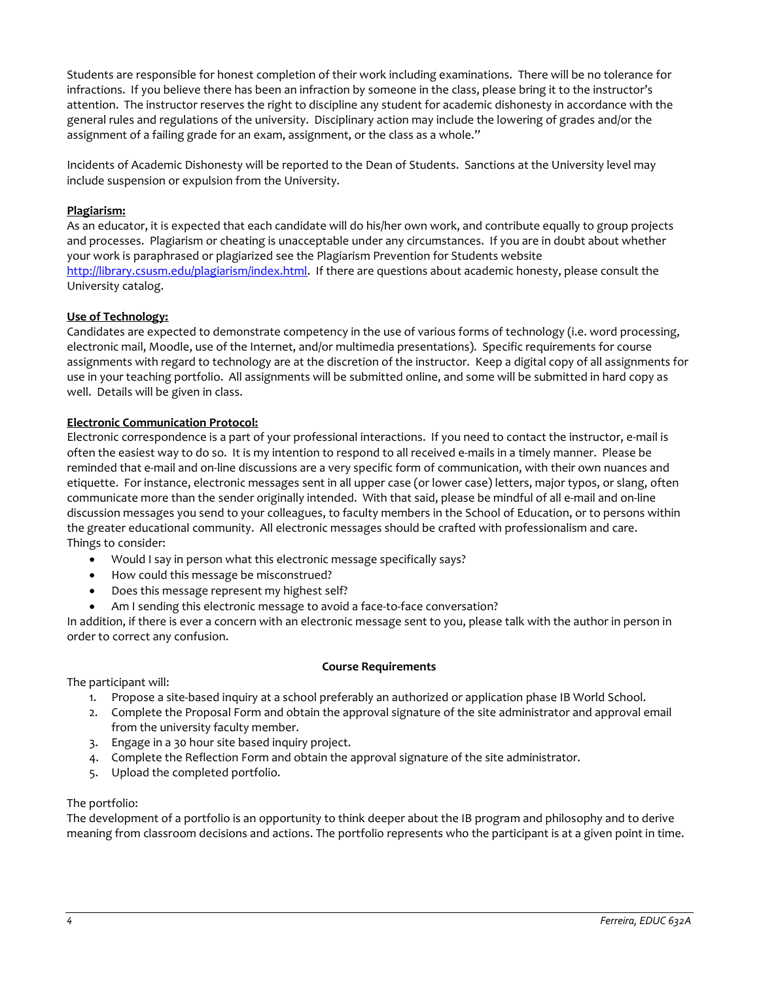Students are responsible for honest completion of their work including examinations. There will be no tolerance for infractions. If you believe there has been an infraction by someone in the class, please bring it to the instructor's attention. The instructor reserves the right to discipline any student for academic dishonesty in accordance with the general rules and regulations of the university. Disciplinary action may include the lowering of grades and/or the assignment of a failing grade for an exam, assignment, or the class as a whole."

Incidents of Academic Dishonesty will be reported to the Dean of Students. Sanctions at the University level may include suspension or expulsion from the University.

## **Plagiarism:**

As an educator, it is expected that each candidate will do his/her own work, and contribute equally to group projects and processes. Plagiarism or cheating is unacceptable under any circumstances. If you are in doubt about whether your work is paraphrased or plagiarized see the Plagiarism Prevention for Students website [http://library.csusm.edu/plagiarism/index.html.](http://library.csusm.edu/plagiarism/index.html) If there are questions about academic honesty, please consult the University catalog.

## **Use of Technology:**

Candidates are expected to demonstrate competency in the use of various forms of technology (i.e. word processing, electronic mail, Moodle, use of the Internet, and/or multimedia presentations). Specific requirements for course assignments with regard to technology are at the discretion of the instructor. Keep a digital copy of all assignments for use in your teaching portfolio. All assignments will be submitted online, and some will be submitted in hard copy as well. Details will be given in class.

## **Electronic Communication Protocol:**

Electronic correspondence is a part of your professional interactions. If you need to contact the instructor, e-mail is often the easiest way to do so. It is my intention to respond to all received e-mails in a timely manner. Please be reminded that e-mail and on-line discussions are a very specific form of communication, with their own nuances and etiquette. For instance, electronic messages sent in all upper case (or lower case) letters, major typos, or slang, often communicate more than the sender originally intended. With that said, please be mindful of all e-mail and on-line discussion messages you send to your colleagues, to faculty members in the School of Education, or to persons within the greater educational community. All electronic messages should be crafted with professionalism and care. Things to consider:

- Would I say in person what this electronic message specifically says?
- How could this message be misconstrued?
- Does this message represent my highest self?
- Am I sending this electronic message to avoid a face-to-face conversation?

In addition, if there is ever a concern with an electronic message sent to you, please talk with the author in person in order to correct any confusion.

#### **Course Requirements**

The participant will:

- 1. Propose a site-based inquiry at a school preferably an authorized or application phase IB World School.
- 2. Complete the Proposal Form and obtain the approval signature of the site administrator and approval email from the university faculty member.
- 3. Engage in a 30 hour site based inquiry project.
- 4. Complete the Reflection Form and obtain the approval signature of the site administrator.
- 5. Upload the completed portfolio.

#### The portfolio:

The development of a portfolio is an opportunity to think deeper about the IB program and philosophy and to derive meaning from classroom decisions and actions. The portfolio represents who the participant is at a given point in time.